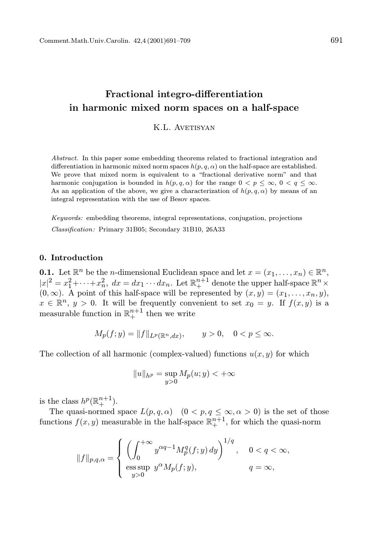# Fractional integro-differentiation in harmonic mixed norm spaces on a half-space

K.L. AVETISYAN

Abstract. In this paper some embedding theorems related to fractional integration and differentiation in harmonic mixed norm spaces  $h(p, q, \alpha)$  on the half-space are established. We prove that mixed norm is equivalent to a "fractional derivative norm" and that harmonic conjugation is bounded in  $h(p,q,\alpha)$  for the range  $0 < p \leq \infty$ ,  $0 < q \leq \infty$ . As an application of the above, we give a characterization of  $h(p, q, \alpha)$  by means of an integral representation with the use of Besov spaces.

Keywords: embedding theorems, integral representations, conjugation, projections Classification: Primary 31B05; Secondary 31B10, 26A33

### 0. Introduction

**0.1.** Let  $\mathbb{R}^n$  be the *n*-dimensional Euclidean space and let  $x = (x_1, \ldots, x_n) \in \mathbb{R}^n$ ,  $|x|^2 = x_1^2 + \cdots + x_n^2$ ,  $dx = dx_1 \cdots dx_n$ . Let  $\mathbb{R}^{n+1}_+$  denote the upper half-space  $\mathbb{R}^n \times$  $(0, \infty)$ . A point of this half-space will be represented by  $(x, y) = (x_1, \ldots, x_n, y)$ ,  $x \in \mathbb{R}^n$ ,  $y > 0$ . It will be frequently convenient to set  $x_0 = y$ . If  $f(x, y)$  is a measurable function in  $\mathbb{R}^{n+1}_+$  then we write

$$
M_p(f; y) = ||f||_{L^p(\mathbb{R}^n, dx)}, \qquad y > 0, \quad 0 < p \leq \infty.
$$

The collection of all harmonic (complex-valued) functions  $u(x, y)$  for which

$$
||u||_{h^p} = \sup_{y>0} M_p(u; y) < +\infty
$$

is the class  $h^p(\mathbb{R}^{n+1}_+)$ .

The quasi-normed space  $L(p,q,\alpha)$   $(0 < p,q \leq \infty, \alpha > 0)$  is the set of those functions  $f(x, y)$  measurable in the half-space  $\mathbb{R}^{n+1}_+$ , for which the quasi-norm

$$
\|f\|_{p,q,\alpha}=\left\{\begin{array}{lll}\left(\int_0^{+\infty}y^{\alpha q-1}M_p^q(f;y)\,dy\right)^{1/q}, &\hbox{ $00}y^{\alpha}M_p(f;y), &\hbox{ $q=\infty$,} \end{array}\right.
$$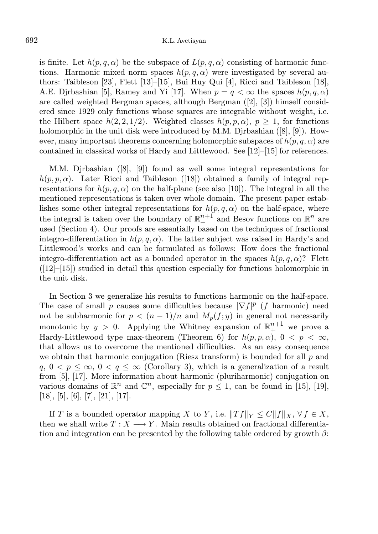is finite. Let  $h(p, q, \alpha)$  be the subspace of  $L(p, q, \alpha)$  consisting of harmonic functions. Harmonic mixed norm spaces  $h(p, q, \alpha)$  were investigated by several authors: Taibleson [23], Flett [13]–[15], Bui Huy Qui [4], Ricci and Taibleson [18], A.E. Djrbashian [5], Ramey and Yi [17]. When  $p = q < \infty$  the spaces  $h(p, q, \alpha)$ are called weighted Bergman spaces, although Bergman ([2], [3]) himself considered since 1929 only functions whose squares are integrable without weight, i.e. the Hilbert space  $h(2, 2, 1/2)$ . Weighted classes  $h(p, p, \alpha)$ ,  $p \geq 1$ , for functions holomorphic in the unit disk were introduced by M.M. Djrbashian ([8], [9]). However, many important theorems concerning holomorphic subspaces of  $h(p, q, \alpha)$  are contained in classical works of Hardy and Littlewood. See [12]–[15] for references.

M.M. Djrbashian ([8], [9]) found as well some integral representations for  $h(p, p, \alpha)$ . Later Ricci and Taibleson ([18]) obtained a family of integral representations for  $h(p, q, \alpha)$  on the half-plane (see also [10]). The integral in all the mentioned representations is taken over whole domain. The present paper establishes some other integral representations for  $h(p, q, \alpha)$  on the half-space, where the integral is taken over the boundary of  $\mathbb{R}^{n+1}_+$  and Besov functions on  $\mathbb{R}^n$  are used (Section 4). Our proofs are essentially based on the techniques of fractional integro-differentiation in  $h(p, q, \alpha)$ . The latter subject was raised in Hardy's and Littlewood's works and can be formulated as follows: How does the fractional integro-differentiation act as a bounded operator in the spaces  $h(p, q, \alpha)$ ? Flett  $([12]–[15])$  studied in detail this question especially for functions holomorphic in the unit disk.

In Section 3 we generalize his results to functions harmonic on the half-space. The case of small p causes some difficulties because  $|\nabla f|^p$  (f harmonic) need not be subharmonic for  $p < (n-1)/n$  and  $M_p(f; y)$  in general not necessarily monotonic by  $y > 0$ . Applying the Whitney expansion of  $\mathbb{R}^{n+1}_+$  we prove a Hardy-Littlewood type max-theorem (Theorem 6) for  $h(p, p, \alpha)$ ,  $0 \leq p \leq \infty$ , that allows us to overcome the mentioned difficulties. As an easy consequence we obtain that harmonic conjugation (Riesz transform) is bounded for all  $p$  and  $q, 0 < p \leq \infty, 0 < q \leq \infty$  (Corollary 3), which is a generalization of a result from [5], [17]. More information about harmonic (pluriharmonic) conjugation on various domains of  $\mathbb{R}^n$  and  $\mathbb{C}^n$ , especially for  $p \leq 1$ , can be found in [15], [19],  $[18], [5], [6], [7], [21], [17].$ 

If T is a bounded operator mapping X to Y, i.e.  $||Tf||_Y \leq C||f||_X$ ,  $\forall f \in X$ , then we shall write  $T : X \longrightarrow Y$ . Main results obtained on fractional differentiation and integration can be presented by the following table ordered by growth  $\beta$ :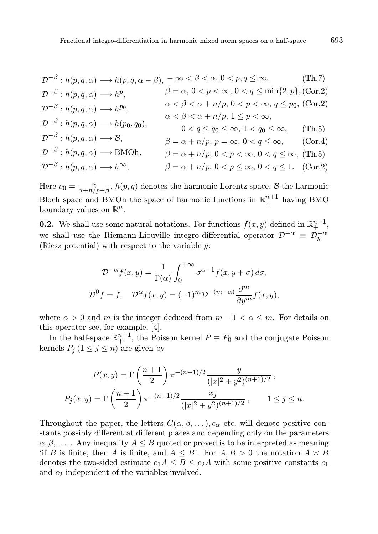$$
\mathcal{D}^{-\beta}: h(p,q,\alpha) \longrightarrow h(p,q,\alpha-\beta), \ -\infty < \beta < \alpha, \ 0 < p,q \leq \infty,\tag{Th.7}
$$

$$
\mathcal{D}^{-\beta}: h(p, q, \alpha) \longrightarrow h^p, \qquad \beta = \alpha, 0 < p < \infty, 0 < q \le \min\{2, p\}, \text{(Cor.2)}
$$
\n
$$
\mathcal{D}^{-\beta}: h(p, q, \alpha) \longrightarrow h^{p_0}, \qquad \alpha < \beta < \alpha + n/p, 0 < p < \infty, q \le p_0, \text{(Cor.2)}
$$
\n
$$
\mathcal{D}^{-\beta}: h(p, q, \alpha) \longrightarrow h(p_0, q_0), \qquad \alpha < \beta < \alpha + n/p, 1 \le p < \infty,
$$
\n
$$
\mathcal{D}^{-\beta}: h(p, q, \alpha) \longrightarrow \mathcal{B}, \qquad \beta = \alpha + n/p, p = \infty, 0 < q \le \infty, \qquad \text{(Cor.4)}
$$
\n
$$
\mathcal{D}^{-\beta}: h(p, q, \alpha) \longrightarrow \text{BMOh}, \qquad \beta = \alpha + n/p, 0 < p < \infty, 0 < q \le \infty, \text{(Tr.5)}
$$
\n
$$
\mathcal{D}^{-\beta}: h(p, q, \alpha) \longrightarrow h^{\infty}, \qquad \beta = \alpha + n/p, 0 < p < \infty, 0 < q \le 1. \text{(Cor.2)}
$$

Here  $p_0 = \frac{n}{\alpha + n}$  $\frac{n}{\alpha+n/p-\beta}$ ,  $h(p,q)$  denotes the harmonic Lorentz space,  $\mathcal B$  the harmonic Bloch space and BMOh the space of harmonic functions in  $\mathbb{R}^{n+1}_+$  having BMO boundary values on  $\mathbb{R}^n$ .

**0.2.** We shall use some natural notations. For functions  $f(x, y)$  defined in  $\mathbb{R}^{n+1}_+$ , we shall use the Riemann-Liouville integro-differential operator  $\mathcal{D}^{-\alpha} \equiv \mathcal{D}_y^{-\alpha}$ (Riesz potential) with respect to the variable  $y$ :

$$
\mathcal{D}^{-\alpha} f(x, y) = \frac{1}{\Gamma(\alpha)} \int_0^{+\infty} \sigma^{\alpha - 1} f(x, y + \sigma) d\sigma,
$$
  

$$
\mathcal{D}^0 f = f, \quad \mathcal{D}^{\alpha} f(x, y) = (-1)^m \mathcal{D}^{-(m-\alpha)} \frac{\partial^m}{\partial y^m} f(x, y),
$$

where  $\alpha > 0$  and m is the integer deduced from  $m - 1 < \alpha \leq m$ . For details on this operator see, for example, [4].

In the half-space  $\mathbb{R}^{n+1}_+$ , the Poisson kernel  $P \equiv P_0$  and the conjugate Poisson kernels  $P_j$   $(1 \leq j \leq n)$  are given by

$$
P(x,y) = \Gamma\left(\frac{n+1}{2}\right)\pi^{-(n+1)/2}\frac{y}{(|x|^2 + y^2)^{(n+1)/2}},
$$
  

$$
P_j(x,y) = \Gamma\left(\frac{n+1}{2}\right)\pi^{-(n+1)/2}\frac{x_j}{(|x|^2 + y^2)^{(n+1)/2}}, \qquad 1 \le j \le n.
$$

Throughout the paper, the letters  $C(\alpha, \beta, \ldots), c_{\alpha}$  etc. will denote positive constants possibly different at different places and depending only on the parameters  $\alpha, \beta, \ldots$ . Any inequality  $A \leq B$  quoted or proved is to be interpreted as meaning 'if B is finite, then A is finite, and  $A \leq B'$ . For  $A, B > 0$  the notation  $A \simeq B$ denotes the two-sided estimate  $c_1A \leq B \leq c_2A$  with some positive constants  $c_1$ and c2 independent of the variables involved.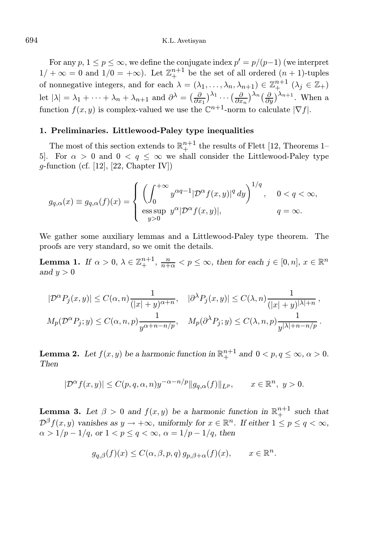For any  $p, 1 \leq p \leq \infty$ , we define the conjugate index  $p' = p/(p-1)$  (we interpret  $1/ + \infty = 0$  and  $1/0 = +\infty$ ). Let  $\mathbb{Z}_{+}^{n+1}$  be the set of all ordered  $(n + 1)$ -tuples of nonnegative integers, and for each  $\lambda = (\lambda_1, \ldots, \lambda_n, \lambda_{n+1}) \in \mathbb{Z}_+^{n+1}$   $(\lambda_j \in \mathbb{Z}_+)$ let  $|\lambda| = \lambda_1 + \cdots + \lambda_n + \lambda_{n+1}$  and  $\partial^{\lambda} = \left(\frac{\partial}{\partial x_1}\right)^{\lambda_1} \cdots \left(\frac{\partial}{\partial x_n}\right)^{\lambda_n} \left(\frac{\partial}{\partial y}\right)^{\lambda_{n+1}}$ . When a function  $f(x, y)$  is complex-valued we use the  $\mathbb{C}^{n+1}$ -norm to calculate  $|\nabla f|$ .

### 1. Preliminaries. Littlewood-Paley type inequalities

The most of this section extends to  $\mathbb{R}^{n+1}_+$  the results of Flett [12, Theorems 1– 5. For  $\alpha > 0$  and  $0 < q \leq \infty$  we shall consider the Littlewood-Paley type g-function (cf. [12], [22, Chapter IV])

$$
g_{q,\alpha}(x) \equiv g_{q,\alpha}(f)(x) = \begin{cases} \left(\int_0^{+\infty} y^{\alpha q-1} |\mathcal{D}^{\alpha} f(x,y)|^q dy\right)^{1/q}, & 0 < q < \infty, \\ \text{ess}\sup_{y>0} y^{\alpha} |\mathcal{D}^{\alpha} f(x,y)|, & q = \infty. \end{cases}
$$

We gather some auxiliary lemmas and a Littlewood-Paley type theorem. The proofs are very standard, so we omit the details.

**Lemma 1.** If  $\alpha > 0$ ,  $\lambda \in \mathbb{Z}_{+}^{n+1}$ ,  $\frac{n}{n+\alpha} < p \leq \infty$ , then for each  $j \in [0, n]$ ,  $x \in \mathbb{R}^{n}$ and  $y > 0$ 

$$
|\mathcal{D}^{\alpha}P_j(x,y)| \le C(\alpha,n) \frac{1}{(|x|+y)^{\alpha+n}}, \quad |\partial^{\lambda}P_j(x,y)| \le C(\lambda,n) \frac{1}{(|x|+y)^{|\lambda|+n}},
$$
  

$$
M_p(\mathcal{D}^{\alpha}P_j; y) \le C(\alpha,n,p) \frac{1}{y^{\alpha+n-n/p}}, \quad M_p(\partial^{\lambda}P_j; y) \le C(\lambda,n,p) \frac{1}{y^{|\lambda|+n-n/p}}.
$$

**Lemma 2.** Let  $f(x, y)$  be a harmonic function in  $\mathbb{R}^{n+1}_+$  and  $0 < p, q \le \infty, \alpha > 0$ . Then

$$
|\mathcal{D}^{\alpha}f(x,y)| \le C(p,q,\alpha,n)y^{-\alpha-n/p} \|g_{q,\alpha}(f)\|_{L^p}, \qquad x \in \mathbb{R}^n, \ y > 0.
$$

**Lemma 3.** Let  $\beta > 0$  and  $f(x, y)$  be a harmonic function in  $\mathbb{R}^{n+1}_+$  such that  $\mathcal{D}^{\beta}f(x,y)$  vanishes as  $y \to +\infty$ , uniformly for  $x \in \mathbb{R}^{n}$ . If either  $1 \leq p \leq q < \infty$ ,  $\alpha > 1/p - 1/q$ , or  $1 < p \leq q < \infty$ ,  $\alpha = 1/p - 1/q$ , then

$$
g_{q,\beta}(f)(x) \le C(\alpha,\beta,p,q) g_{p,\beta+\alpha}(f)(x), \qquad x \in \mathbb{R}^n.
$$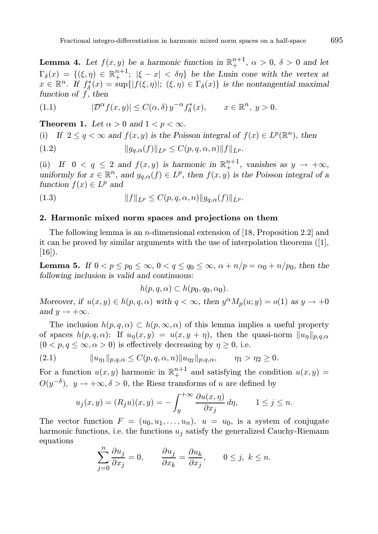**Lemma 4.** Let  $f(x, y)$  be a harmonic function in  $\mathbb{R}^{n+1}_+$ ,  $\alpha > 0$ ,  $\delta > 0$  and let  $\Gamma_{\delta}(x) = \{(\xi, \eta) \in \mathbb{R}^{n+1}_+; |\xi - x| < \delta\eta\}$  be the Lusin cone with the vertex at  $x \in \mathbb{R}^n$ . If  $f_{\delta}^*(x) = \sup\{|f(\xi, \eta)|; (\xi, \eta) \in \Gamma_{\delta}(x)\}\$ is the nontangential maximal function of  $f$ , then

(1.1) 
$$
|\mathcal{D}^{\alpha}f(x,y)| \leq C(\alpha,\delta) y^{-\alpha} f_{\delta}^{*}(x), \qquad x \in \mathbb{R}^{n}, y > 0.
$$

**Theorem 1.** Let  $\alpha > 0$  and  $1 < p < \infty$ .

(i) If 
$$
2 \le q < \infty
$$
 and  $f(x, y)$  is the Poisson integral of  $f(x) \in L^p(\mathbb{R}^n)$ , then  
(1.2) 
$$
||g_{q,\alpha}(f)||_{L^p} \le C(p,q,\alpha,n) ||f||_{L^p}.
$$

(ii) If  $0 < q \le 2$  and  $f(x, y)$  is harmonic in  $\mathbb{R}^{n+1}_+$ , vanishes as  $y \to +\infty$ , uniformly for  $x \in \mathbb{R}^n$ , and  $g_{q,\alpha}(f) \in L^p$ , then  $f(x, y)$  is the Poisson integral of a function  $f(x) \in L^p$  and

(1.3) 
$$
||f||_{L^p} \leq C(p,q,\alpha,n) ||g_{q,\alpha}(f)||_{L^p}.
$$

### 2. Harmonic mixed norm spaces and projections on them

The following lemma is an n-dimensional extension of [18, Proposition 2.2] and it can be proved by similar arguments with the use of interpolation theorems ([1],  $[16]$ ).

**Lemma 5.** If  $0 < p \leq p_0 \leq \infty$ ,  $0 < q \leq q_0 \leq \infty$ ,  $\alpha + n/p = \alpha_0 + n/p_0$ , then the following inclusion is valid and continuous:

$$
h(p,q,\alpha) \subset h(p_0,q_0,\alpha_0).
$$

Moreover, if  $u(x, y) \in h(p, q, \alpha)$  with  $q < \infty$ , then  $y^{\alpha} M_p(u; y) = o(1)$  as  $y \to +0$ and  $y \rightarrow +\infty$ .

The inclusion  $h(p,q,\alpha) \subset h(p,\infty,\alpha)$  of this lemma implies a useful property of spaces  $h(p,q,\alpha)$ : If  $u_{\eta}(x,y) = u(x,y+\eta)$ , then the quasi-norm  $||u_{\eta}||_{p,q,\alpha}$  $(0 < p, q \leq \infty, \alpha > 0)$  is effectively decreasing by  $\eta \geq 0$ , i.e.

(2.1) 
$$
||u_{\eta_1}||_{p,q,\alpha} \leq C(p,q,\alpha,n) ||u_{\eta_2}||_{p,q,\alpha}, \qquad \eta_1 > \eta_2 \geq 0.
$$

For a function  $u(x, y)$  harmonic in  $\mathbb{R}^{n+1}_+$  and satisfying the condition  $u(x, y) =$  $O(y^{-\delta}), y \to +\infty, \delta > 0$ , the Riesz transforms of u are defined by

$$
u_j(x,y) = (R_j u)(x,y) = -\int_y^{+\infty} \frac{\partial u(x,\eta)}{\partial x_j} d\eta, \qquad 1 \le j \le n.
$$

The vector function  $F = (u_0, u_1, \ldots, u_n), u = u_0$ , is a system of conjugate harmonic functions, i.e. the functions  $u_j$  satisfy the generalized Cauchy-Riemann equations

$$
\sum_{j=0}^{n} \frac{\partial u_j}{\partial x_j} = 0, \qquad \frac{\partial u_j}{\partial x_k} = \frac{\partial u_k}{\partial x_j}, \qquad 0 \le j, \ k \le n.
$$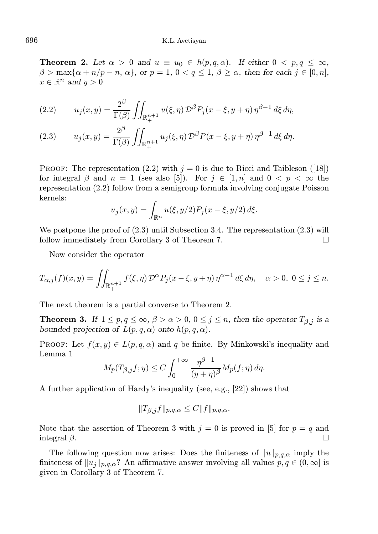**Theorem 2.** Let  $\alpha > 0$  and  $u \equiv u_0 \in h(p,q,\alpha)$ . If either  $0 < p,q < \infty$ ,  $\beta > \max\{\alpha + n/p - n, \alpha\},\$  or  $p = 1, 0 < q < 1, \beta > \alpha$ , then for each  $j \in [0, n],$  $x \in \mathbb{R}^n$  and  $y > 0$ 

(2.2) 
$$
u_j(x,y) = \frac{2^{\beta}}{\Gamma(\beta)} \iint_{\mathbb{R}^{n+1}_+} u(\xi,\eta) \, \mathcal{D}^{\beta} P_j(x-\xi,y+\eta) \, \eta^{\beta-1} \, d\xi \, d\eta,
$$

(2.3) 
$$
u_j(x,y) = \frac{2^{\beta}}{\Gamma(\beta)} \iint_{\mathbb{R}^{n+1}_+} u_j(\xi,\eta) \, \mathcal{D}^{\beta} P(x-\xi,y+\eta) \, \eta^{\beta-1} \, d\xi \, d\eta.
$$

PROOF: The representation (2.2) with  $j = 0$  is due to Ricci and Taibleson ([18]) for integral  $\beta$  and  $n = 1$  (see also [5]). For  $j \in [1, n]$  and  $0 \leq p \leq \infty$  the representation (2.2) follow from a semigroup formula involving conjugate Poisson kernels:

$$
u_j(x, y) = \int_{\mathbb{R}^n} u(\xi, y/2) P_j(x - \xi, y/2) d\xi.
$$

We postpone the proof of  $(2.3)$  until Subsection 3.4. The representation  $(2.3)$  will follow immediately from Corollary 3 of Theorem 7.

Now consider the operator

$$
T_{\alpha,j}(f)(x,y) = \iint_{\mathbb{R}^{n+1}_+} f(\xi,\eta) \, \mathcal{D}^{\alpha} P_j(x-\xi,y+\eta) \, \eta^{\alpha-1} \, d\xi \, d\eta, \quad \alpha > 0, \ 0 \leq j \leq n.
$$

The next theorem is a partial converse to Theorem 2.

**Theorem 3.** If  $1 \leq p, q \leq \infty, \beta > \alpha > 0, 0 \leq j \leq n$ , then the operator  $T_{\beta,j}$  is a bounded projection of  $L(p,q,\alpha)$  onto  $h(p,q,\alpha)$ .

PROOF: Let  $f(x, y) \in L(p, q, \alpha)$  and q be finite. By Minkowski's inequality and Lemma 1

$$
M_p(T_{\beta,j}f;y) \le C \int_0^{+\infty} \frac{\eta^{\beta-1}}{(y+\eta)^{\beta}} M_p(f;\eta) d\eta.
$$

A further application of Hardy's inequality (see, e.g., [22]) shows that

$$
||T_{\beta,j}f||_{p,q,\alpha} \leq C||f||_{p,q,\alpha}.
$$

Note that the assertion of Theorem 3 with  $j = 0$  is proved in [5] for  $p = q$  and integral  $\beta$ .

The following question now arises: Does the finiteness of  $||u||_{p,q,\alpha}$  imply the finiteness of  $||u_j||_{p,q,\alpha}$ ? An affirmative answer involving all values  $p, q \in (0, \infty]$  is given in Corollary 3 of Theorem 7.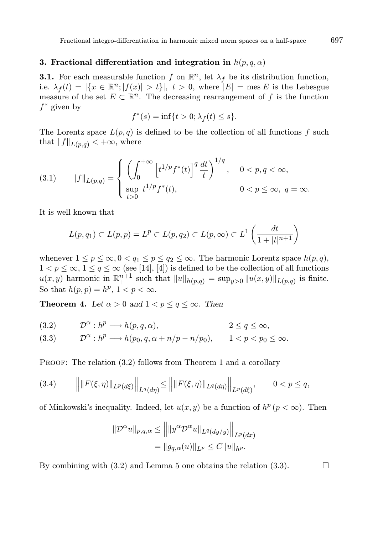# 3. Fractional differentiation and integration in  $h(p,q,\alpha)$

**3.1.** For each measurable function f on  $\mathbb{R}^n$ , let  $\lambda_f$  be its distribution function, i.e.  $\lambda_f(t) = |\{x \in \mathbb{R}^n; |f(x)| > t\}|, t > 0$ , where  $|E| = \text{mes } E$  is the Lebesgue measure of the set  $E \subset \mathbb{R}^n$ . The decreasing rearrangement of f is the function  $f^*$  given by

$$
f^*(s) = \inf\{t > 0; \lambda_f(t) \le s\}.
$$

The Lorentz space  $L(p,q)$  is defined to be the collection of all functions f such that  $||f||_{L(p,q)} < +\infty$ , where

(3.1) 
$$
||f||_{L(p,q)} = \begin{cases} \left(\int_0^{+\infty} \left[t^{1/p} f^*(t)\right]^q \frac{dt}{t}\right)^{1/q}, & 0 < p, q < \infty, \\ \sup_{t > 0} t^{1/p} f^*(t), & 0 < p \le \infty, q = \infty. \end{cases}
$$

It is well known that

$$
L(p,q_1) \subset L(p,p) = L^p \subset L(p,q_2) \subset L(p,\infty) \subset L^1\left(\frac{dt}{1+|t|^{n+1}}\right)
$$

whenever  $1 \le p \le \infty, 0 < q_1 \le p \le q_2 \le \infty$ . The harmonic Lorentz space  $h(p,q)$ ,  $1 < p \leq \infty$ ,  $1 \leq q \leq \infty$  (see [14], [4]) is defined to be the collection of all functions  $u(x, y)$  harmonic in  $\mathbb{R}^{n+1}_+$  such that  $||u||_{h(p,q)} = \sup_{y>0} ||u(x, y)||_{L(p,q)}$  is finite. So that  $h(p, p) = h^p$ ,  $1 < p < \infty$ .

**Theorem 4.** Let  $\alpha > 0$  and  $1 < p \le q \le \infty$ . Then

(3.2) 
$$
\mathcal{D}^{\alpha}: h^p \longrightarrow h(p,q,\alpha), \qquad 2 \leq q \leq \infty,
$$

(3.3) 
$$
\mathcal{D}^{\alpha}: h^p \longrightarrow h(p_0, q, \alpha + n/p - n/p_0), \qquad 1 < p < p_0 \leq \infty.
$$

PROOF: The relation  $(3.2)$  follows from Theorem 1 and a corollary

(3.4) 
$$
\left\| \|F(\xi,\eta)\|_{L^p(d\xi)} \right\|_{L^q(d\eta)} \leq \left\| \|F(\xi,\eta)\|_{L^q(d\eta)} \right\|_{L^p(d\xi)}, \qquad 0 < p \leq q,
$$

of Minkowski's inequality. Indeed, let  $u(x, y)$  be a function of  $h^p (p < \infty)$ . Then

$$
\|\mathcal{D}^{\alpha}u\|_{p,q,\alpha} \le \left\| \|y^{\alpha}\mathcal{D}^{\alpha}u\|_{L^q(dy/y)} \right\|_{L^p(dx)}
$$
  
=  $\|g_{q,\alpha}(u)\|_{L^p} \le C \|u\|_{h^p}.$ 

By combining with (3.2) and Lemma 5 one obtains the relation (3.3).  $\Box$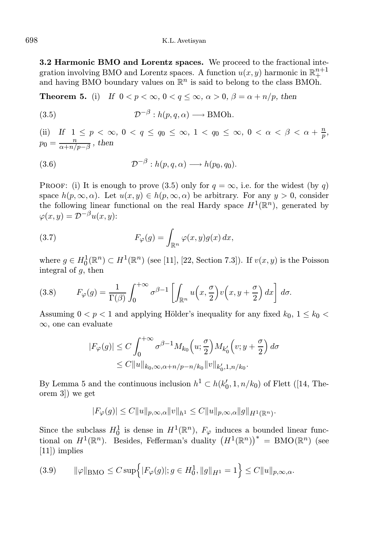3.2 Harmonic BMO and Lorentz spaces. We proceed to the fractional integration involving BMO and Lorentz spaces. A function  $u(x, y)$  harmonic in  $\mathbb{R}^{n+1}_+$ and having BMO boundary values on  $\mathbb{R}^n$  is said to belong to the class BMOh.

**Theorem 5.** (i) If  $0 < p < \infty$ ,  $0 < q \le \infty$ ,  $\alpha > 0$ ,  $\beta = \alpha + \frac{n}{p}$ , then

(3.5) 
$$
\mathcal{D}^{-\beta}: h(p,q,\alpha) \longrightarrow \text{BMOh}.
$$

(ii) If  $1 \le p < \infty$ ,  $0 < q \le q_0 \le \infty$ ,  $1 < q_0 \le \infty$ ,  $0 < \alpha < \beta < \alpha + \frac{n}{p}$ ,  $p_0 = \frac{n}{\alpha + n}$  $\frac{n}{\alpha+n/p-\beta}$  , then

(3.6) 
$$
\mathcal{D}^{-\beta}: h(p,q,\alpha) \longrightarrow h(p_0,q_0).
$$

PROOF: (i) It is enough to prove (3.5) only for  $q = \infty$ , i.e. for the widest (by q) space  $h(p, \infty, \alpha)$ . Let  $u(x, y) \in h(p, \infty, \alpha)$  be arbitrary. For any  $y > 0$ , consider the following linear functional on the real Hardy space  $H^1(\mathbb{R}^n)$ , generated by  $\varphi(x, y) = \mathcal{D}^{-\beta}u(x, y)$ :

(3.7) 
$$
F_{\varphi}(g) = \int_{\mathbb{R}^n} \varphi(x, y) g(x) dx,
$$

where  $g \in H_0^1(\mathbb{R}^n) \subset H^1(\mathbb{R}^n)$  (see [11], [22, Section 7.3]). If  $v(x, y)$  is the Poisson integral of  $q$ , then

(3.8) 
$$
F_{\varphi}(g) = \frac{1}{\Gamma(\beta)} \int_0^{+\infty} \sigma^{\beta-1} \left[ \int_{\mathbb{R}^n} u\left(x, \frac{\sigma}{2}\right) v\left(x, y + \frac{\sigma}{2}\right) dx \right] d\sigma.
$$

Assuming  $0 < p < 1$  and applying Hölder's inequality for any fixed  $k_0$ ,  $1 \leq k_0 <$ ∞, one can evaluate

$$
|F_{\varphi}(g)| \le C \int_0^{+\infty} \sigma^{\beta-1} M_{k_0}\left(u; \frac{\sigma}{2}\right) M_{k'_0}\left(v; y+\frac{\sigma}{2}\right) d\sigma
$$
  
\$\le C ||u||\_{k\_0,\infty,\alpha+n/p-n/k\_0} ||v||\_{k'\_0,1,n/k\_0}.

By Lemma 5 and the continuous inclusion  $h^1 \subset h(k'_0, 1, n/k_0)$  of Flett ([14, Theorem 3]) we get

$$
|F_\varphi(g)|\leq C\|u\|_{p,\infty,\alpha}\|v\|_{h^1}\leq C\|u\|_{p,\infty,\alpha}\|g\|_{H^1(\mathbb{R}^n)}.
$$

Since the subclass  $H_0^1$  is dense in  $H^1(\mathbb{R}^n)$ ,  $F_\varphi$  induces a bounded linear functional on  $H^1(\mathbb{R}^n)$ . Besides, Fefferman's duality  $(H^1(\mathbb{R}^n))^* = \text{BMO}(\mathbb{R}^n)$  (see [11]) implies

$$
(3.9) \qquad \|\varphi\|_{\text{BMO}} \leq C \sup \Bigl\{ |F_{\varphi}(g)|; g \in H_0^1, \|g\|_{H^1} = 1 \Bigr\} \leq C \|u\|_{p,\infty,\alpha}.
$$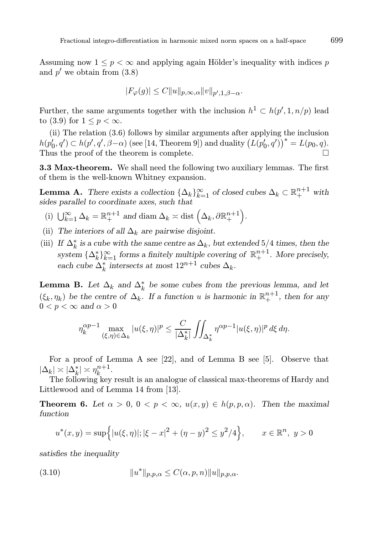Assuming now  $1 \leq p \leq \infty$  and applying again Hölder's inequality with indices p and  $p'$  we obtain from  $(3.8)$ 

$$
|F_{\varphi}(g)| \le C||u||_{p,\infty,\alpha}||v||_{p',1,\beta-\alpha}.
$$

Further, the same arguments together with the inclusion  $h^1 \subset h(p', 1, n/p)$  lead to (3.9) for  $1 \leq p < \infty$ .

(ii) The relation (3.6) follows by similar arguments after applying the inclusion  $h(p'_0, q') \subset h(p', q', \beta - \alpha)$  (see [14, Theorem 9]) and duality  $(L(p'_0, q'))^* = L(p_0, q)$ . Thus the proof of the theorem is complete.

3.3 Max-theorem. We shall need the following two auxiliary lemmas. The first of them is the well-known Whitney expansion.

**Lemma A.** There exists a collection  $\{\Delta_k\}_{k=1}^{\infty}$  of closed cubes  $\Delta_k \subset \mathbb{R}^{n+1}_+$  with sides parallel to coordinate axes, such that

- (i)  $\bigcup_{k=1}^{\infty} \Delta_k = \mathbb{R}^{n+1}_+$  and diam  $\Delta_k \asymp$  dist  $\left(\Delta_k, \partial \mathbb{R}^{n+1}_+\right)$ .
- (ii) The interiors of all  $\Delta_k$  are pairwise disjoint.
- (iii) If  $\Delta_k^*$  is a cube with the same centre as  $\Delta_k$ , but extended 5/4 times, then the system  $\{\Delta_k^*\}_{k=1}^{\infty}$  forms a finitely multiple covering of  $\mathbb{R}^{n+1}_+$ . More precisely, each cube  $\Delta_k^*$  intersects at most  $12^{n+1}$  cubes  $\Delta_k$ .

**Lemma B.** Let  $\Delta_k$  and  $\Delta_k^*$  be some cubes from the previous lemma, and let  $(\xi_k, \eta_k)$  be the centre of  $\Delta_k$ . If a function u is harmonic in  $\mathbb{R}^{n+1}_+$ , then for any  $0 < p < \infty$  and  $\alpha > 0$ 

$$
\eta_k^{\alpha p-1} \max_{(\xi,\eta)\in\Delta_k} |u(\xi,\eta)|^p \le \frac{C}{|\Delta_k^*|} \iint_{\Delta_k^*} \eta^{\alpha p-1} |u(\xi,\eta)|^p d\xi d\eta.
$$

For a proof of Lemma A see [22], and of Lemma B see [5]. Observe that  $|\Delta_k| \asymp |\Delta_k^*| \asymp \eta_k^{n+1}.$ 

The following key result is an analogue of classical max-theorems of Hardy and Littlewood and of Lemma 14 from [13].

**Theorem 6.** Let  $\alpha > 0$ ,  $0 < p < \infty$ ,  $u(x, y) \in h(p, p, \alpha)$ . Then the maximal function

$$
u^*(x, y) = \sup\Big\{|u(\xi, \eta)|; |\xi - x|^2 + (\eta - y)^2 \le y^2/4\Big\}, \qquad x \in \mathbb{R}^n, \ y > 0
$$

satisfies the inequality

(3.10) 
$$
||u^*||_{p,p,\alpha} \leq C(\alpha, p, n) ||u||_{p,p,\alpha}.
$$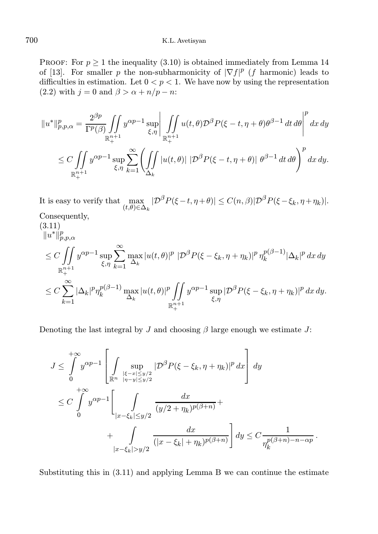### 700 K.L. Avetisyan

PROOF: For  $p \geq 1$  the inequality (3.10) is obtained immediately from Lemma 14 of [13]. For smaller p the non-subharmonicity of  $|\nabla f|^p$  (f harmonic) leads to difficulties in estimation. Let  $0 < p < 1$ . We have now by using the representation (2.2) with  $j = 0$  and  $\beta > \alpha + n/p - n$ :

$$
||u^*||_{p,p,\alpha}^p = \frac{2^{\beta p}}{\Gamma^p(\beta)} \iint\limits_{\mathbb{R}_+^{n+1}} y^{\alpha p-1} \sup\limits_{\xi,\eta} \left| \iint\limits_{\mathbb{R}_+^{n+1}} u(t,\theta) \mathcal{D}^{\beta} P(\xi-t,\eta+\theta) \theta^{\beta-1} dt d\theta \right|^p dx dy
$$
  

$$
\leq C \iint\limits_{\mathbb{R}_+^{n+1}} y^{\alpha p-1} \sup\limits_{\xi,\eta} \sum\limits_{k=1}^{\infty} \left( \iint\limits_{\Delta_k} |u(t,\theta)| |\mathcal{D}^{\beta} P(\xi-t,\eta+\theta)| \theta^{\beta-1} dt d\theta \right)^p dx dy.
$$

It is easy to verify that max  $\max_{(t,\theta)\in\Delta_k}|\mathcal{D}^{\beta}P(\xi-t,\eta+\theta)|\leq C(n,\beta)|\mathcal{D}^{\beta}P(\xi-\xi_k,\eta+\eta_k)|.$ 

Consequently,

$$
(3.11)
$$
  
\n
$$
||u^*||_{p,p,\alpha}^p
$$
  
\n
$$
\leq C \iint_{\mathbb{R}_+^{n+1}} y^{\alpha p-1} \sup_{\xi,\eta} \sum_{k=1}^\infty \max_{\Delta_k} |u(t,\theta)|^p |D^\beta P(\xi - \xi_k, \eta + \eta_k)|^p \eta_k^{p(\beta-1)} |\Delta_k|^p dx dy
$$
  
\n
$$
\leq C \sum_{k=1}^\infty |\Delta_k|^p \eta_k^{p(\beta-1)} \max_{\Delta_k} |u(t,\theta)|^p \iint_{\mathbb{R}_+^{n+1}} y^{\alpha p-1} \sup_{\xi,\eta} |D^\beta P(\xi - \xi_k, \eta + \eta_k)|^p dx dy.
$$

Denoting the last integral by J and choosing  $\beta$  large enough we estimate J:

$$
J \leq \int_{0}^{+\infty} y^{\alpha p-1} \left[ \int_{\mathbb{R}^n} \sup_{\substack{|\xi - x| \leq y/2 \\ |\eta - y| \leq y/2}} |\mathcal{D}^{\beta} P(\xi - \xi_k, \eta + \eta_k)|^p dx \right] dy
$$
  

$$
\leq C \int_{0}^{+\infty} y^{\alpha p-1} \left[ \int_{|x - \xi_k| \leq y/2} \frac{dx}{(y/2 + \eta_k)^{p(\beta + n)}} + \right.
$$
  

$$
+ \int_{|x - \xi_k| > y/2} \frac{dx}{(|x - \xi_k| + \eta_k)^{p(\beta + n)}} \right] dy \leq C \frac{1}{\eta_k^{p(\beta + n) - n - \alpha p}}.
$$

Substituting this in (3.11) and applying Lemma B we can continue the estimate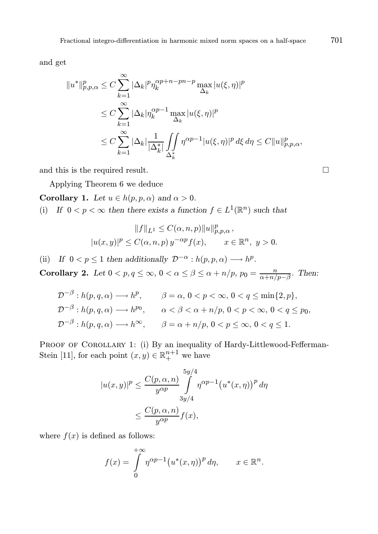and get

$$
||u^*||_{p,p,\alpha}^p \le C \sum_{k=1}^{\infty} |\Delta_k|^p \eta_k^{\alpha p+n-pn-p} \max_{\Delta_k} |u(\xi,\eta)|^p
$$
  
\n
$$
\le C \sum_{k=1}^{\infty} |\Delta_k| \eta_k^{\alpha p-1} \max_{\Delta_k} |u(\xi,\eta)|^p
$$
  
\n
$$
\le C \sum_{k=1}^{\infty} |\Delta_k| \frac{1}{|\Delta_k^*|} \iint_{\Delta_k^*} \eta^{\alpha p-1} |u(\xi,\eta)|^p d\xi d\eta \le C ||u||_{p,p,\alpha}^p,
$$

and this is the required result.

Applying Theorem 6 we deduce

Corollary 1. Let  $u \in h(p, p, \alpha)$  and  $\alpha > 0$ .

(i) If  $0 < p < \infty$  then there exists a function  $f \in L^1(\mathbb{R}^n)$  such that

$$
||f||_{L^1} \leq C(\alpha, n, p)||u||_{p, p, \alpha}^p,
$$
  

$$
|u(x, y)|^p \leq C(\alpha, n, p) y^{-\alpha p} f(x), \qquad x \in \mathbb{R}^n, y > 0.
$$

(ii) If  $0 < p \le 1$  then additionally  $\mathcal{D}^{-\alpha}: h(p, p, \alpha) \longrightarrow h^p$ .

Corollary 2. Let  $0 < p, q \le \infty$ ,  $0 < \alpha \le \beta \le \alpha + n/p$ ,  $p_0 = \frac{n}{\alpha + n/p}$  $\frac{n}{\alpha+n/p-\beta}$ . Then:

$$
\mathcal{D}^{-\beta}: h(p,q,\alpha) \longrightarrow h^p, \qquad \beta = \alpha, \ 0 < p < \infty, \ 0 < q \le \min\{2, p\},
$$
\n
$$
\mathcal{D}^{-\beta}: h(p,q,\alpha) \longrightarrow h^{p_0}, \qquad \alpha < \beta < \alpha + n/p, \ 0 < p < \infty, \ 0 < q \le p_0,
$$
\n
$$
\mathcal{D}^{-\beta}: h(p,q,\alpha) \longrightarrow h^{\infty}, \qquad \beta = \alpha + n/p, \ 0 < p \le \infty, \ 0 < q \le 1.
$$

PROOF OF COROLLARY 1: (i) By an inequality of Hardy-Littlewood-Fefferman-Stein [11], for each point  $(x, y) \in \mathbb{R}^{n+1}_+$  we have

$$
|u(x,y)|^p \le \frac{C(p,\alpha,n)}{y^{\alpha p}} \int_{3y/4}^{5y/4} \eta^{\alpha p-1} (u^*(x,\eta))^p d\eta
$$
  

$$
\le \frac{C(p,\alpha,n)}{y^{\alpha p}} f(x),
$$

where  $f(x)$  is defined as follows:

$$
f(x) = \int_{0}^{+\infty} \eta^{\alpha p - 1} (u^*(x, \eta))^p d\eta, \qquad x \in \mathbb{R}^n.
$$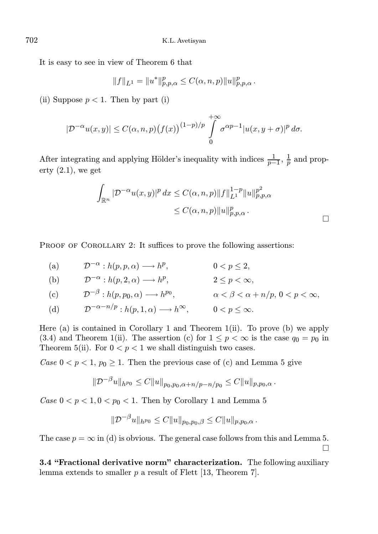It is easy to see in view of Theorem 6 that

$$
||f||_{L^{1}} = ||u^*||_{p,p,\alpha}^p \leq C(\alpha, n, p)||u||_{p,p,\alpha}^p.
$$

(ii) Suppose  $p < 1$ . Then by part (i)

$$
|\mathcal{D}^{-\alpha}u(x,y)| \leq C(\alpha,n,p)\big(f(x)\big)^{(1-p)/p}\int\limits_{0}^{+\infty}\sigma^{\alpha p-1}|u(x,y+\sigma)|^p\,d\sigma.
$$

After integrating and applying Hölder's inequality with indices  $\frac{1}{p-1}$ ,  $\frac{1}{p}$  and property  $(2.1)$ , we get

$$
\int_{\mathbb{R}^n} |\mathcal{D}^{-\alpha} u(x, y)|^p dx \le C(\alpha, n, p) ||f||_{L^1}^{1-p} ||u||_{p, p, \alpha}^{p^2}
$$
  

$$
\le C(\alpha, n, p) ||u||_{p, p, \alpha}^{p}.
$$

PROOF OF COROLLARY 2: It suffices to prove the following assertions:

(a)  $\mathcal{D}^{-\alpha}: h(p, p, \alpha) \longrightarrow h^p, \qquad 0 < p \leq 2,$ 

(b) 
$$
\mathcal{D}^{-\alpha}: h(p, 2, \alpha) \longrightarrow h^p
$$
,  $2 \le p < \infty$ ,

(c) 
$$
\mathcal{D}^{-\beta}: h(p, p_0, \alpha) \longrightarrow h^{p_0}, \qquad \alpha < \beta < \alpha + n/p, 0 < p < \infty,
$$

 $(d)$  $\mathcal{D}^{-\alpha-n/p}: h(p, 1, \alpha) \longrightarrow h^{\infty}, \qquad 0 < p < \infty.$ 

Here (a) is contained in Corollary 1 and Theorem 1(ii). To prove (b) we apply (3.4) and Theorem 1(ii). The assertion (c) for  $1 \leq p < \infty$  is the case  $q_0 = p_0$  in Theorem 5(ii). For  $0 < p < 1$  we shall distinguish two cases.

Case  $0 < p < 1$ ,  $p_0 \ge 1$ . Then the previous case of (c) and Lemma 5 give

$$
\|\mathcal{D}^{-\beta}u\|_{h^{p_0}} \leq C\|u\|_{p_0,p_0,\alpha+h/p-n/p_0} \leq C\|u\|_{p,p_0,\alpha}.
$$

Case  $0 < p < 1, 0 < p_0 < 1$ . Then by Corollary 1 and Lemma 5

$$
\|\mathcal{D}^{-\beta}u\|_{h^{p_0}} \leq C\|u\|_{p_0,p_0,\beta} \leq C\|u\|_{p,p_0,\alpha}.
$$

The case  $p = \infty$  in (d) is obvious. The general case follows from this and Lemma 5.  $\Box$ 

3.4 "Fractional derivative norm" characterization. The following auxiliary lemma extends to smaller  $p$  a result of Flett [13, Theorem 7].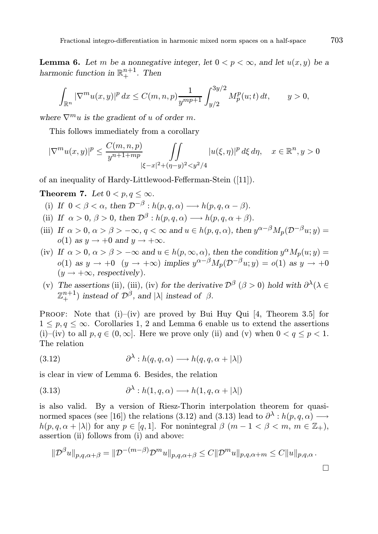**Lemma 6.** Let m be a nonnegative integer, let  $0 < p < \infty$ , and let  $u(x, y)$  be a harmonic function in  $\mathbb{R}^{n+1}_+$ . Then

$$
\int_{\mathbb{R}^n} |\nabla^m u(x,y)|^p dx \le C(m,n,p) \frac{1}{y^{mp+1}} \int_{y/2}^{3y/2} M_p^p(u;t) dt, \qquad y > 0,
$$

where  $\nabla^m u$  is the gradient of u of order m.

This follows immediately from a corollary

$$
|\nabla^m u(x,y)|^p \le \frac{C(m,n,p)}{y^{n+1+mp}} \iint\limits_{|\xi-x|^2 + (\eta-y)^2 < y^2/4} |u(\xi,\eta)|^p \, d\xi \, d\eta, \quad x \in \mathbb{R}^n, y > 0
$$

of an inequality of Hardy-Littlewood-Fefferman-Stein ([11]).

Theorem 7. Let  $0 < p, q < \infty$ .

- (i) If  $0 < \beta < \alpha$ , then  $\mathcal{D}^{-\beta} : h(p, q, \alpha) \longrightarrow h(p, q, \alpha \beta)$ .
- (ii) If  $\alpha > 0$ ,  $\beta > 0$ , then  $\mathcal{D}^{\beta}: h(p,q,\alpha) \longrightarrow h(p,q,\alpha+\beta)$ .
- (iii) If  $\alpha > 0$ ,  $\alpha > \beta > -\infty$ ,  $q < \infty$  and  $u \in h(p,q,\alpha)$ , then  $y^{\alpha-\beta}M_p(\mathcal{D}^{-\beta}u; y) =$  $o(1)$  as  $y \rightarrow +0$  and  $y \rightarrow +\infty$ .
- (iv) If  $\alpha > 0$ ,  $\alpha > \beta > -\infty$  and  $u \in h(p, \infty, \alpha)$ , then the condition  $y^{\alpha} M_p(u; y) =$  $o(1)$  as  $y \to +0$   $(y \to +\infty)$  implies  $y^{\alpha-\beta}M_p(\mathcal{D}^{-\beta}u; y) = o(1)$  as  $y \to +0$  $(y \rightarrow +\infty$ , respectively).
- (v) The assertions (ii), (iii), (iv) for the derivative  $\mathcal{D}^{\beta}$  ( $\beta > 0$ ) hold with  $\partial^{\lambda}(\lambda \in$  $\mathbb{Z}_{+}^{n+1}$ ) instead of  $\mathcal{D}^{\beta}$ , and  $|\lambda|$  instead of  $\beta$ .

PROOF: Note that  $(i)$ – $(iv)$  are proved by Bui Huy Qui [4, Theorem 3.5] for  $1 \leq p, q \leq \infty$ . Corollaries 1, 2 and Lemma 6 enable us to extend the assertions (i)–(iv) to all  $p, q \in (0, \infty]$ . Here we prove only (ii) and (v) when  $0 < q \leq p < 1$ . The relation

(3.12) 
$$
\partial^{\lambda}: h(q, q, \alpha) \longrightarrow h(q, q, \alpha + |\lambda|)
$$

is clear in view of Lemma 6. Besides, the relation

(3.13) 
$$
\partial^{\lambda}: h(1, q, \alpha) \longrightarrow h(1, q, \alpha + |\lambda|)
$$

is also valid. By a version of Riesz-Thorin interpolation theorem for quasinormed spaces (see [16]) the relations (3.12) and (3.13) lead to  $\partial^{\lambda}: h(p,q,\alpha) \longrightarrow$  $h(p, q, \alpha + |\lambda|)$  for any  $p \in [q, 1]$ . For nonintegral  $\beta$   $(m - 1 < \beta < m, m \in \mathbb{Z}_+),$ assertion (ii) follows from (i) and above:

$$
\|\mathcal{D}^{\beta}u\|_{p,q,\alpha+\beta} = \|\mathcal{D}^{-(m-\beta)}\mathcal{D}^m u\|_{p,q,\alpha+\beta} \leq C \|\mathcal{D}^m u\|_{p,q,\alpha+m} \leq C \|u\|_{p,q,\alpha}.
$$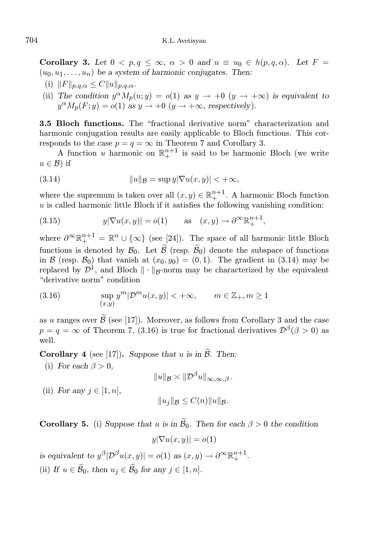Corollary 3. Let  $0 < p, q < \infty, \alpha > 0$  and  $u \equiv u_0 \in h(p,q,\alpha)$ . Let  $F =$  $(u_0, u_1, \ldots, u_n)$  be a system of harmonic conjugates. Then:

- (i)  $||F||_{p,q,\alpha} \leq C ||u||_{p,q,\alpha}.$
- (ii) The condition  $y^{\alpha}M_p(u; y) = o(1)$  as  $y \to +0$   $(y \to +\infty)$  is equivalent to  $y^{\alpha}M_p(F; y) = o(1)$  as  $y \to +0$   $(y \to +\infty$ , respectively).

3.5 Bloch functions. The "fractional derivative norm" characterization and harmonic conjugation results are easily applicable to Bloch functions. This corresponds to the case  $p = q = \infty$  in Theorem 7 and Corollary 3.

A function u harmonic on  $\mathbb{R}^{n+1}_+$  is said to be harmonic Bloch (we write  $u \in \mathcal{B}$ ) if

(3.14) 
$$
||u||_{\mathcal{B}} = \sup y |\nabla u(x, y)| < +\infty,
$$

where the supremum is taken over all  $(x, y) \in \mathbb{R}^{n+1}$ . A harmonic Bloch function  $u$  is called harmonic little Bloch if it satisfies the following vanishing condition:

(3.15) 
$$
y|\nabla u(x,y)| = o(1) \quad \text{as} \quad (x,y) \to \partial^{\infty} \mathbb{R}^{n+1}_+,
$$

where  $\partial^{\infty} \mathbb{R}^{n+1}_+ = \mathbb{R}^n \cup {\infty}$  (see [24]). The space of all harmonic little Bloch functions is denoted by  $\mathcal{B}_0$ . Let  $\mathcal{B}$  (resp.  $\mathcal{B}_0$ ) denote the subspace of functions in B (resp.  $B_0$ ) that vanish at  $(x_0, y_0) = (0, 1)$ . The gradient in (3.14) may be replaced by  $\mathcal{D}^1$ , and Bloch  $\|\cdot\|_{\mathcal{B}}$ -norm may be characterized by the equivalent "derivative norm" condition

(3.16) 
$$
\sup_{(x,y)} y^m |\mathcal{D}^m u(x,y)| < +\infty, \qquad m \in \mathbb{Z}_+, m \ge 1
$$

as u ranges over  $\widetilde{\mathcal{B}}$  (see [17]). Moreover, as follows from Corollary 3 and the case  $p = q = \infty$  of Theorem 7, (3.16) is true for fractional derivatives  $\mathcal{D}^{\beta}(\beta > 0)$  as well.

**Corollary 4** (see [17]). Suppose that u is in  $\widetilde{\beta}$ . Then:

(i) For each  $\beta > 0$ ,

$$
||u||_{\mathcal{B}} \asymp ||\mathcal{D}^{\beta}u||_{\infty,\infty,\beta}.
$$

(ii) For any  $j \in [1, n]$ ,

$$
||u_j||_{\mathcal{B}} \leq C(n)||u||_{\mathcal{B}}.
$$

**Corollary 5.** (i) Suppose that u is in  $\mathcal{B}_0$ . Then for each  $\beta > 0$  the condition

$$
y|\nabla u(x,y)| = o(1)
$$

is equivalent to  $y^{\beta} | \mathcal{D}^{\beta} u(x, y) | = o(1)$  as  $(x, y) \to \partial^{\infty} \mathbb{R}^{n+1}_+$ . (ii) If  $u \in \mathcal{B}_0$ , then  $u_j \in \mathcal{B}_0$  for any  $j \in [1, n]$ .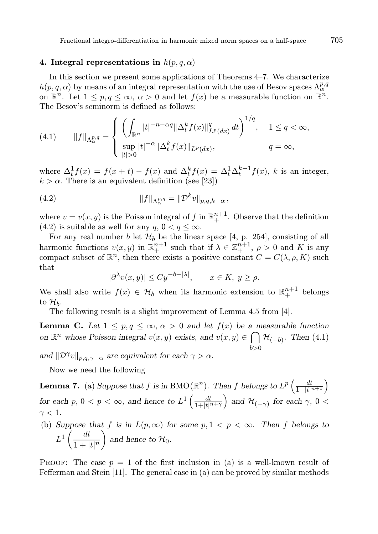## 4. Integral representations in  $h(p, q, \alpha)$

In this section we present some applications of Theorems 4–7. We characterize  $h(p,q,\alpha)$  by means of an integral representation with the use of Besov spaces  $\Lambda^{p,q}_{\alpha}$ on  $\mathbb{R}^n$ . Let  $1 \leq p, q \leq \infty$ ,  $\alpha > 0$  and let  $f(x)$  be a measurable function on  $\mathbb{R}^n$ . The Besov's seminorm is defined as follows:

(4.1) 
$$
||f||_{\Lambda^{p,q}_{\alpha}} = \begin{cases} \left( \int_{\mathbb{R}^n} |t|^{-n-\alpha q} ||\Delta_t^k f(x)||_{L^p(dx)}^q dt \right)^{1/q}, & 1 \le q < \infty, \\ \sup_{|t| > 0} |t|^{-\alpha} ||\Delta_t^k f(x)||_{L^p(dx)}, & q = \infty, \end{cases}
$$

where  $\Delta_t^1 f(x) = f(x+t) - f(x)$  and  $\Delta_t^k f(x) = \Delta_t^1 \Delta_t^{k-1} f(x)$ , k is an integer,  $k > \alpha$ . There is an equivalent definition (see [23])

(4.2) 
$$
||f||_{\Lambda^{p,q}_{\alpha}} = ||\mathcal{D}^{k}v||_{p,q,k-\alpha},
$$

where  $v = v(x, y)$  is the Poisson integral of f in  $\mathbb{R}^{n+1}_+$ . Observe that the definition (4.2) is suitable as well for any  $q, 0 < q \leq \infty$ .

For any real number b let  $\mathcal{H}_b$  be the linear space [4, p. 254], consisting of all harmonic functions  $v(x, y)$  in  $\mathbb{R}^{n+1}_+$  such that if  $\lambda \in \mathbb{Z}^{n+1}_+$ ,  $\rho > 0$  and K is any compact subset of  $\mathbb{R}^n$ , then there exists a positive constant  $C = C(\lambda, \rho, K)$  such that

$$
|\partial^{\lambda}v(x,y)| \le Cy^{-b-|\lambda|}, \qquad x \in K, \ y \ge \rho.
$$

We shall also write  $f(x) \in \mathcal{H}_b$  when its harmonic extension to  $\mathbb{R}^{n+1}_+$  belongs to  $\mathcal{H}_b$ .

The following result is a slight improvement of Lemma 4.5 from [4].

**Lemma C.** Let  $1 \leq p, q \leq \infty, \alpha > 0$  and let  $f(x)$  be a measurable function on  $\mathbb{R}^n$  whose Poisson integral  $v(x, y)$  exists, and  $v(x, y) \in \bigcap$  $_{b>0}$  $\mathcal{H}_{(-b)}$ . Then (4.1)

and  $\|\mathcal{D}^{\gamma}v\|_{p,q,\gamma-\alpha}$  are equivalent for each  $\gamma > \alpha$ .

Now we need the following

**Lemma 7.** (a) Suppose that f is in BMO( $\mathbb{R}^n$ ). Then f belongs to  $L^p\left(\frac{dt}{1+|t|^{n+1}}\right)$ for each  $p, 0 < p < \infty$ , and hence to  $L^1\left(\frac{dt}{1+|t|^{n+\gamma}}\right)$ and  $\mathcal{H}_{(-\gamma)}$  for each  $\gamma$ , 0 <  $\gamma < 1$ .

(b) Suppose that f is in  $L(p, \infty)$  for some  $p, 1 < p < \infty$ . Then f belongs to  $L^1\left(\frac{dt}{1+t}\right)$  $1 + |t|^{n}$  $\setminus$ and hence to  $\mathcal{H}_0$ .

PROOF: The case  $p = 1$  of the first inclusion in (a) is a well-known result of Fefferman and Stein [11]. The general case in (a) can be proved by similar methods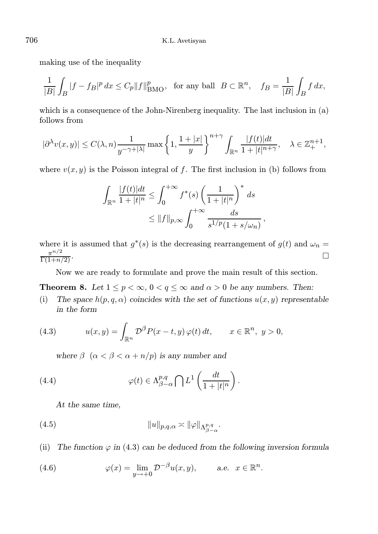making use of the inequality

$$
\frac{1}{|B|} \int_B |f - f_B|^p \, dx \le C_p \|f\|_{\text{BMO}}^p, \text{ for any ball } B \subset \mathbb{R}^n, \quad f_B = \frac{1}{|B|} \int_B f \, dx,
$$

which is a consequence of the John-Nirenberg inequality. The last inclusion in (a) follows from

$$
|\partial^\lambda v(x,y)|\leq C(\lambda,n)\frac{1}{y^{-\gamma+|\lambda|}}\max\left\{1,\frac{1+|x|}{y}\right\}^{n+\gamma}\int_{\mathbb{R}^n}\frac{|f(t)|dt}{1+|t|^{n+\gamma}},\quad \lambda\in\mathbb{Z}_+^{n+1},
$$

where  $v(x, y)$  is the Poisson integral of f. The first inclusion in (b) follows from

$$
\int_{\mathbb{R}^n} \frac{|f(t)|dt}{1+|t|^n} \le \int_0^{+\infty} f^*(s) \left(\frac{1}{1+|t|^n}\right)^* ds
$$
  

$$
\le ||f||_{p,\infty} \int_0^{+\infty} \frac{ds}{s^{1/p}(1+s/\omega_n)},
$$

where it is assumed that  $g^*(s)$  is the decreasing rearrangement of  $g(t)$  and  $\omega_n =$  $\pi^{n/2}$  $\frac{\pi^{n/2}}{\Gamma(1+n/2)}$ .

Now we are ready to formulate and prove the main result of this section.

**Theorem 8.** Let  $1 \leq p < \infty$ ,  $0 < q \leq \infty$  and  $\alpha > 0$  be any numbers. Then:

(i) The space  $h(p, q, \alpha)$  coincides with the set of functions  $u(x, y)$  representable in the form

(4.3) 
$$
u(x,y) = \int_{\mathbb{R}^n} \mathcal{D}^{\beta} P(x-t,y) \varphi(t) dt, \qquad x \in \mathbb{R}^n, y > 0,
$$

where  $\beta$   $(\alpha < \beta < \alpha + n/p)$  is any number and

(4.4) 
$$
\varphi(t) \in \Lambda_{\beta-\alpha}^{p,q} \bigcap L^1 \left( \frac{dt}{1+|t|^n} \right).
$$

At the same time,

(4.5) 
$$
||u||_{p,q,\alpha} \asymp ||\varphi||_{\Lambda^{p,q}_{\beta-\alpha}}.
$$

(ii) The function  $\varphi$  in (4.3) can be deduced from the following inversion formula

(4.6) 
$$
\varphi(x) = \lim_{y \to +0} \mathcal{D}^{-\beta} u(x, y), \qquad \text{a.e. } x \in \mathbb{R}^n.
$$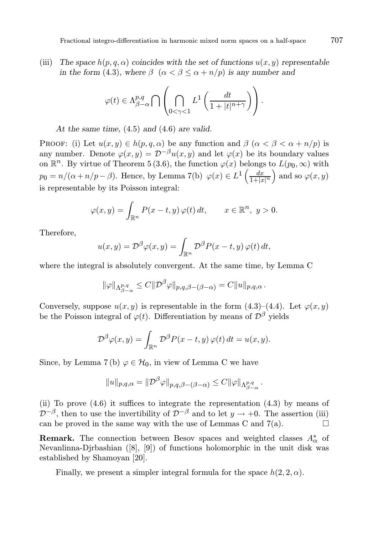(iii) The space  $h(p, q, \alpha)$  coincides with the set of functions  $u(x, y)$  representable in the form (4.3), where  $\beta$  ( $\alpha < \beta < \alpha + n/p$ ) is any number and

$$
\varphi(t) \in \Lambda_{\beta-\alpha}^{p,q} \bigcap \left( \bigcap_{0 \leq \gamma < 1} L^1 \left( \frac{dt}{1+|t|^{n+\gamma}} \right) \right).
$$

At the same time, (4.5) and (4.6) are valid.

PROOF: (i) Let  $u(x, y) \in h(p, q, \alpha)$  be any function and  $\beta$   $(\alpha < \beta < \alpha + n/p)$  is any number. Denote  $\varphi(x, y) = \mathcal{D}^{-\beta}u(x, y)$  and let  $\varphi(x)$  be its boundary values on  $\mathbb{R}^n$ . By virtue of Theorem 5 (3.6), the function  $\varphi(x)$  belongs to  $L(p_0, \infty)$  with  $p_0 = n/(\alpha + n/p - \beta)$ . Hence, by Lemma 7(b)  $\varphi(x) \in L^1\left(\frac{dx}{1+|x|^n}\right)$ ) and so  $\varphi(x, y)$ is representable by its Poisson integral:

$$
\varphi(x,y) = \int_{\mathbb{R}^n} P(x-t,y) \, \varphi(t) \, dt, \qquad x \in \mathbb{R}^n, \ y > 0.
$$

Therefore,

$$
u(x,y) = \mathcal{D}^{\beta}\varphi(x,y) = \int_{\mathbb{R}^n} \mathcal{D}^{\beta} P(x-t,y) \varphi(t) dt,
$$

where the integral is absolutely convergent. At the same time, by Lemma C

$$
\|\varphi\|_{\Lambda^{p,q}_{\beta-\alpha}} \leq C \|\mathcal{D}^{\beta}\varphi\|_{p,q,\beta-(\beta-\alpha)} = C \|u\|_{p,q,\alpha}.
$$

Conversely, suppose  $u(x, y)$  is representable in the form  $(4.3)$ – $(4.4)$ . Let  $\varphi(x, y)$ be the Poisson integral of  $\varphi(t)$ . Differentiation by means of  $\mathcal{D}^{\beta}$  yields

$$
\mathcal{D}^{\beta}\varphi(x,y) = \int_{\mathbb{R}^n} \mathcal{D}^{\beta} P(x-t,y) \varphi(t) dt = u(x,y).
$$

Since, by Lemma 7(b)  $\varphi \in \mathcal{H}_0$ , in view of Lemma C we have

$$
||u||_{p,q,\alpha} = ||\mathcal{D}^{\beta}\varphi||_{p,q,\beta-(\beta-\alpha)} \leq C ||\varphi||_{\Lambda_{\beta-\alpha}^{p,q}}.
$$

(ii) To prove (4.6) it suffices to integrate the representation (4.3) by means of  $\mathcal{D}^{-\beta}$ , then to use the invertibility of  $\mathcal{D}^{-\beta}$  and to let  $y \to +0$ . The assertion (iii) can be proved in the same way with the use of Lemmas C and  $7(a)$ .

**Remark.** The connection between Besov spaces and weighted classes  $A^*_{\alpha}$  of Nevanlinna-Djrbashian ([8], [9]) of functions holomorphic in the unit disk was established by Shamoyan [20].

Finally, we present a simpler integral formula for the space  $h(2, 2, \alpha)$ .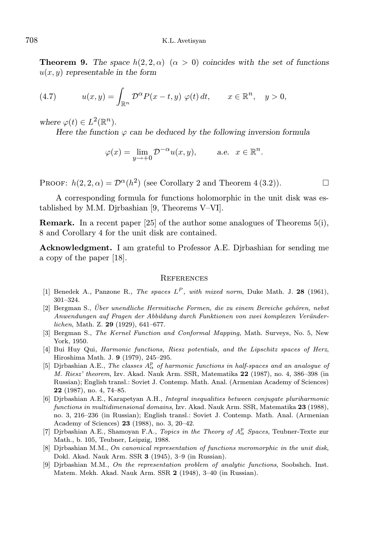**Theorem 9.** The space  $h(2, 2, \alpha)$  ( $\alpha > 0$ ) coincides with the set of functions  $u(x, y)$  representable in the form

(4.7) 
$$
u(x,y) = \int_{\mathbb{R}^n} \mathcal{D}^{\alpha} P(x-t,y) \varphi(t) dt, \qquad x \in \mathbb{R}^n, \quad y > 0,
$$

where  $\varphi(t) \in L^2(\mathbb{R}^n)$ .

Here the function  $\varphi$  can be deduced by the following inversion formula

$$
\varphi(x) = \lim_{y \to +0} \mathcal{D}^{-\alpha} u(x, y), \qquad \text{a.e. } x \in \mathbb{R}^n.
$$

PROOF:  $h(2, 2, \alpha) = \mathcal{D}^{\alpha}(h^2)$  (see Corollary 2 and Theorem 4 (3.2)).

A corresponding formula for functions holomorphic in the unit disk was established by M.M. Djrbashian [9, Theorems V–VI].

Remark. In a recent paper [25] of the author some analogues of Theorems 5(i), 8 and Corollary 4 for the unit disk are contained.

Acknowledgment. I am grateful to Professor A.E. Dirbashian for sending me a copy of the paper [18].

#### **REFERENCES**

- [1] Benedek A., Panzone R., The spaces  $L^P$ , with mixed norm, Duke Math. J. 28 (1961), 301–324.
- $[2]$  Bergman S., Über unendliche Hermitische Formen, die zu einem Bereiche gehören, nebst Anwendungen auf Fragen der Abbildung durch Funktionen von zwei komplexen Veränderlichen, Math. Z. 29 (1929), 641–677.
- [3] Bergman S., The Kernel Function and Conformal Mapping, Math. Surveys, No. 5, New York, 1950.
- [4] Bui Huy Qui, Harmonic functions, Riesz potentials, and the Lipschitz spaces of Herz, Hiroshima Math. J. 9 (1979), 245–295.
- [5] Djrbashian A.E., The classes  $A^p_\alpha$  of harmonic functions in half-spaces and an analogue of M. Riesz' theorem, Izv. Akad. Nauk Arm. SSR, Matematika 22 (1987), no. 4, 386–398 (in Russian); English transl.: Soviet J. Contemp. Math. Anal. (Armenian Academy of Sciences) 22 (1987), no. 4, 74–85.
- [6] Djrbashian A.E., Karapetyan A.H., Integral inequalities between conjugate pluriharmonic functions in multidimensional domains, Izv. Akad. Nauk Arm. SSR, Matematika 23 (1988), no. 3, 216–236 (in Russian); English transl.: Soviet J. Contemp. Math. Anal. (Armenian Academy of Sciences) 23 (1988), no. 3, 20–42.
- [7] Djrbashian A.E., Shamoyan F.A., *Topics in the Theory of*  $A^p_\alpha$  *Spaces*, Teubner-Texte zur Math., b. 105, Teubner, Leipzig, 1988.
- [8] Dirbashian M.M., On canonical representation of functions meromorphic in the unit disk, Dokl. Akad. Nauk Arm. SSR 3 (1945), 3–9 (in Russian).
- [9] Djrbashian M.M., On the representation problem of analytic functions, Soobshch. Inst. Matem. Mekh. Akad. Nauk Arm. SSR 2 (1948), 3–40 (in Russian).